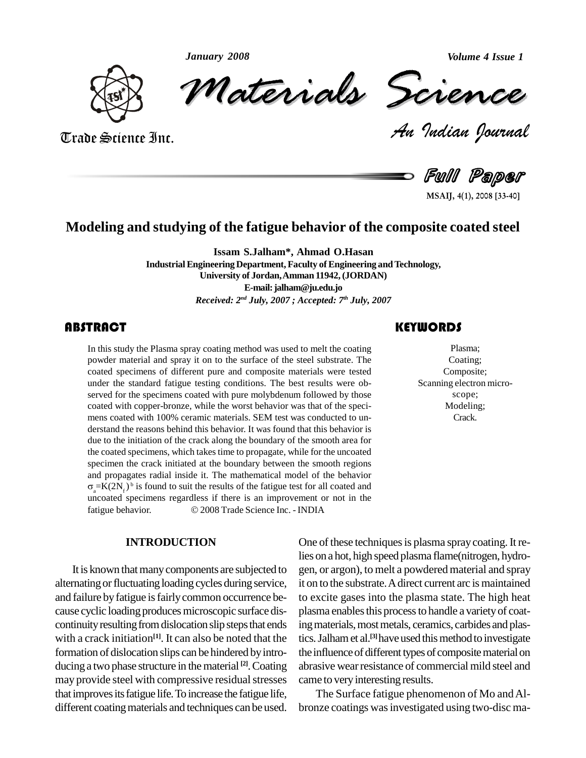*January 2008*

*Volume 4 Issue 1*



Trade Science Inc.

Trade Science Inc.

January 2008<br>Materials Scrence

*Volume 4 Issue 1*<br>*Indian Pournal* 

Full Paper

**MSAIJ, 4(1), 2008 [33-40]**

### **Modeling and studying of the fatigue behavior of the composite coated steel**

**Issam S.Jalham\*, Ahmad O.Hasan**

**Industrial Engineering Department, Faculty of Engineering and Technology, University of Jordan,Amman 11942,(JORDAN) E-mail:[jalham@ju.edu.jo](mailto:jalham@ju.edu.jo)** *Received: 2 nd July, 2007 ; Accepted: 7 th July, 2007*

The study the Plasma spray coating method was used to melt the coating<br>powder material and spray it on to the surface of the steel substrate. The Coating;<br>coated specimens of different pure and composite materials were tes In this study the Plasma spray coating method was used to melt the coating powder material and spray it on to the surface of the steel substrate. The coated specimens of different pure and composite materials were tested under the standard fatigue testing conditions. The best results were ob served for the specimens coated with pure molybdenum followed by those coated with copper-bronze, while the worst behavior was that of the speci mens coated with 100% ceramic materials. SEM test was conducted to un derstand the reasons behind this behavior. It was found that this behavior is due to the initiation of the crack along the boundary of the smooth area for the coated specimens, which takestime to propagate, while for the uncoated specimen the crack initiated at the boundary between the smooth regions and propagates radial inside it. The mathematical model of the behavior  $\sigma_a = K(2N_f)^b$  is found to suit the results of the fatigue test for all coated and uncoated specimens regardless if there is an improvement or not in the fatigue behavior.  $\odot$  2008 Trade Science Inc. - INDIA uncoated specimens regardless if there is an improvement or not in the

#### **INTRODUCTION**

It is known that many components are subjected to alternating or fluctuating loading cycles during service, and failure by fatigue is fairly common occurrence because cyclic loading produces microscopic surface discontinuity resulting from dislocation slip steps that ends with a crack initiation<sup>[1]</sup>. It can also be noted that the tics. Ja formation of dislocation slips can be hindered by introducing a two phase structure in the material <sup>[2]</sup>. Coating abrasiv may provide steel with compressive residual stresses that improves its fatigue life. To increase the fatigue life, different coating materials and techniques can be used.

Plasma; Coating; Composite; Scanning electron micro scope; Modeling; Crack.

One of these techniques is plasma spray coating. It relies on a hot, high speed plasma flame(nitrogen, hydro gen, or argon), to melt a powdered material and spray it on to the substrate.Adirect current arc is maintained to excite gases into the plasma state. The high heat plasma enables this process to handle a variety of coating materials, most metals, ceramics, carbides and plastics.Jalhamet al. **[3]**have used thismethodto investigate the influence of different types of composite material on abrasive wear resistance of commercial mild steel and came to very interesting results.

The Surface fatigue phenomenon of Mo andAl bronze coatings was investigated using two-disc ma-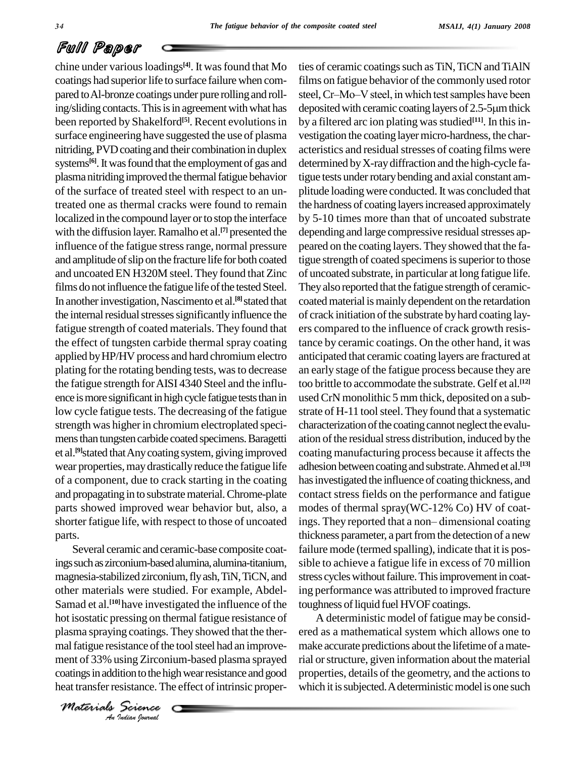chine under various loadings<sup>[4]</sup>. It was found that Mo ties of o coatings had superior life to surface failure when compared to Al-bronze coatings under pure rolling and rollbeen reported by Shakelford<sup>[5]</sup>. Recent evolutions in by a fil surface engineering have suggested the use of plasma nitriding, PVD coating and their combination in duplex systems<sup>[6]</sup>. It was found that the employment of gas and determ plasma nitriding improved the thermal fatigue behavior of the surface of treated steel with respect to an untreated one as thermal cracks were found to remain localized in the compound layer or to stop the interface with the diffusion layer. Ramalho et al.<sup>[7]</sup> presented the depen influence of the fatigue stress range, normal pressure and amplitude of slip on the fracture life for both coated and uncoated EN H320M steel. They found that Zinc films do not influence the fatigue life of the tested Steel. In another investigation, Nascimento et al.<sup>[8]</sup> stated that coa the internal residual stresses significantly influence the fatigue strength of coated materials. They found that the effect of tungsten carbide thermal spray coating applied by HP/HV process and hard chromium electro plating for the rotating bending tests, was to decrease the fatigue strength forAISI 4340 Steel and the influ ence is more significant in high cycle fatigue tests than in low cycle fatigue tests. The decreasing of the fatigue strength was higher in chromium electroplated specimens than tungsten carbide coated specimens. Baragetti et al.<sup>[9]</sup>stated that Any coating system, giving improved coating wear properties, may drastically reduce the fatigue life of a component, due to crack starting in the coating and propagating in to substratematerial.Chrome-plate parts showed improved wear behavior but, also, a parts.<br>Several ceramic and ceramic-base composite coat-

plasma spraying coatings. They showed that the ther- ered *Instance of the*<br>*Islance of the*<br>*Indian bournal*<br>*Indian bournal* ings such as zirconium-based alumina, alumina-titanium, magnesia-stabilized zirconium,flyash,TiN,TiCN, and other materials were studied. For example, Abdel- Samad et al.<sup>[10]</sup> have investigated the influence of the tough hot isostatic pressing on thermal fatigue resistance of mal fatigue resistance of the tool steel had an improvement of 33% using Zirconium-based plasma sprayed coatings in addition to the high wear resistance and good heat transfer resistance. The effect of intrinsic proper-

ing/sliding contacts. This is in agreement with what has deposited with ceramic coating layers of 2.5-5 µm thick shorter fatigue life, with respect to those of uncoated ings. They reported that a non-dimensional coating ties of ceramic coatings such as TiN, TiCN and TiAlN films on fatigue behavior of the commonly used rotor ties of ceramic coatings such as TiN, TiCN and TiAlN<br>films on fatigue behavior of the commonly used rotor<br>steel, Cr–Mo–V steel, in which test samples have been films on fatigue behavior of the commonly used rotor<br>steel, Cr–Mo–V steel, in which test samples have been<br>deposited with ceramic coating layers of 2.5-5µm thick by a filtered arc ion plating was studied<sup>[11]</sup>. In this investigation the coating layer micro-hardness, the characteristics and residual stresses of coating films were determined byX-raydiffraction and the high-cycle fatigue tests under rotary bending and axial constant amplitude loading were conducted. It was concluded that the hardness of coating layers increased approximately by 5-10 times more than that of uncoated substrate depending and large compressive residual stresses appeared on the coating layers. They showed that the fatigue strength of coated specimens is superior to those of uncoated substrate, in particular at long fatigue life. They also reported that the fatigue strength of ceramiccoated material is mainly dependent on the retardation of crack initiation of the substrate by hard coating layers compared to the influence of crack growth resistance by ceramic coatings. On the other hand, it was anticipated that ceramic coating layers are fractured at an early stage of the fatigue process because they are too brittle to accommodate the substrate. Gelf et al. **[12]** usedCrN monolithic 5 mm thick, deposited on a sub strate of H-11 tool steel. They found that a systematic characterization of the coating cannot neglect the evaluation of the residual stress distribution, induced by the coating manufacturing process because it affects the adhesion between coating and substrate. Ahmed et al.<sup>[13]</sup> has investigated the influence of coating thickness, and contact stress fields on the performance and fatigue<br>modes of thermal spray(WC-12% Co) HV of coat-<br>ings. They reported that a non– dimensional coating modes of thermal spray(WC-12% Co) HV of coatthickness parameter, a part from the detection of a new failure mode (termed spalling), indicate that it is pos sible to achieve a fatigue life in excess of 70 million stress cycles without failure. This improvement in coating performance was attributed to improved fracture toughness of liquid fuel HVOF coatings.

> A deterministic model of fatigue may be consid ered as a mathematical system which allows one to make accurate predictions about the lifetime of amaterial orstructure, given information about the material properties, details of the geometry, and the actions to which it is subjected. A deterministic model is one such

*Materials Science*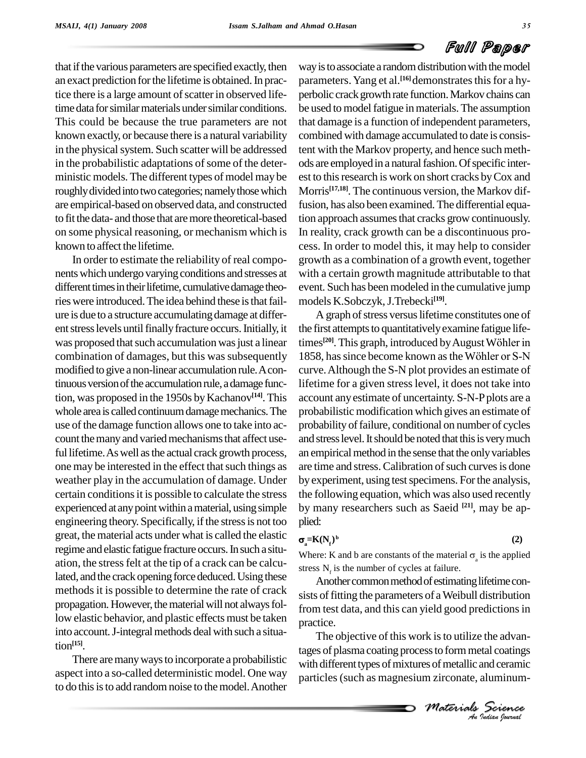

that if the various parameters are specified exactly, then an exact prediction forthe lifetime is obtained.In practice there is a large amount of scatter in observed lifetime data for similar materials under similar conditions. This could be because the true parameters are not known exactly, or because there is a natural variability in the physical system. Such scatter will be addressed in the probabilistic adaptations of some of the deterministic models. The different types of model may be roughly divided into two categories; namely those which are empirical-based on observed data, and constructed to fit the data- and those that aremore theoretical-based on some physical reasoning, or mechanism which is known to affect the lifetime.

In order to estimate the reliability of real compo nentswhich undergo varying conditions and stresses at different times in their lifetime, cumulative damage theories were introduced. The idea behind these is that failure is due to a structure accumulatingdamage at differ ent stress levels until finally fracture occurs. Initially, it was proposed that such accumulation was just a linear combination of damages, but this was subsequently 1858, has since become known as the Wöhler or S-N modified to give a non-linear accumulation rule.Acontinuous version of the accumulation rule, a damage function, was proposed in the 1950s by Kachanov<sup>[14]</sup>. This acco whole area is called continuum damage mechanics. The use of the damage function allows one to take into account the many and varied mechanisms that affect useful lifetime. As well as the actual crack growth process, one may be interested in the effect that such things as weather play in the accumulation of damage. Under certain conditions it is possible to calculate the stress experienced at any point within a material, using simple engineering theory. Specifically, if the stress is not too great, the material acts under what is called the elastic regime and elastic fatigue fracture occurs. In such a situation, the stress felt at the tip of a crack can be calculated, and the crack opening force deduced. Using these methods it is possible to determine the rate of crack propagation. However, the material will not always follow elastic behavior, and plastic effects must be taken into account. J-integral methods deal with such a situation **[15]**.

There are many ways to incorporate a probabilistic aspect into a so-called deterministic model. One way to do this is to add random noise to the model. Another

way is to associate a random distribution with the model parameters. Yang et al.<sup>[16]</sup>demonstrates this for a hyperbolic crack growth rate function. Markov chains can be used to model fatigue in materials. The assumption that damage is a function of independent parameters, combined with damage accumulated to date is consistent with the Markov property, and hence such meth ods are employed in a natural fashion. Of specific interest to thisresearch iswork on short cracks byCox and Morris **[17,18]**. The continuous version, the Markov diffusion, has also been examined.The differential equation approach assumes that cracks grow continuously. In reality, crack growth can be a discontinuous pro cess. In order to model this, it may help to consider growth as a combination of a growth event, together with a certain growth magnitude attributable to that event. Such has been modeled in the cumulative jump models K.Sobczyk,J.Trebecki **[19]**.

A graph of stress versus lifetime constitutes one of<br>first attempts to quantitatively examine fatigue life-<br>s<sup>[20]</sup>. This graph, introduced by August Wöhler in the first attempts to quantitatively examine fatigue lifetimes<sup>[20]</sup>. This the first attempts to quantitatively examine fatigue life-<br>times<sup>[20]</sup>. This graph, introduced by August Wöhler in<br>1858, has since become known as the Wöhler or S-N curve.Although the S-N plot provides an estimate of lifetime for a given stress level, it does not take into account anyestimate of uncertainty. S-N-Pplots are a probabilistic modification which gives an estimate of probability of failure, conditional on number of cycles and stress level. It should be noted that this is very much an empirical method in the sense that the only variables are time and stress. Calibration of such curves is done by experiment, using test specimens. For the analysis, the following equation, which was also used recently by many researchers such as Saeid **[21]**, may be ap plied:

#### $\sigma$ <sub>=K</sub> $($

$$
(\mathbf{N}_{\mathbf{f}})^{\mathbf{b}} \tag{2}
$$

 $\sigma_a = K(N_f)^b$  (2)<br>Where: K and b are constants of the material  $\sigma_a$  is the applied stress  $N_f$  is the number of cycles at failure.

Another common method of estimating lifetime consists of fitting the parameters of a Weibull distribution from test data, and this can yield good predictions in practice.

*In this is to utilize the advantances*<br> *Indian*<br> *Materials Science*<br> *Materials Science*<br> *An Indian Ioarnal* The objective of this work is to utilize the advantages of plasma coating processto formmetal coatings with different types of mixtures of metallic and ceramic particles(such as magnesium zirconate, aluminum-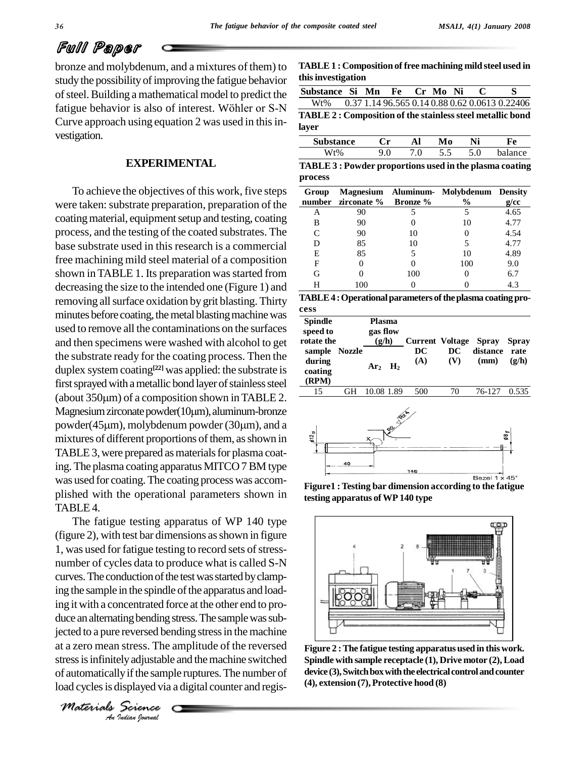bronze and molybdenum, and a mixtures of them) to study the possibility of improving the fatigue behavior of steel. Building a mathematical model to predict the  $\frac{\text{Subst}}{\text{max}}$ study the possibility of improving the fatigue behavior<br>of steel. Building a mathematical model to predict the<br>fatigue behavior is also of interest. Wöhler or S-N<br> $\frac{Wt\%}{T\ \cdot\ \cdot}$ Curve approach using equation 2 was used in this investigation.

#### **EXPERIMENTAL**

To achieve the objectives of this work, five steps were taken: substrate preparation, preparation of the coating material, equipment setup and testing, coating process, and the testing of the coated substrates. The base substrate used in this research is a commercial free machining mild steel material of a composition shown in TABLE 1. Its preparation was started from decreasing the size to the intended one (Figure 1) and removing allsurface oxidation by grit blasting. Thirty minutes before coating, the metal blasting machine was used to remove all the contaminations on the surfaces and then specimens were washed with alcohol to get the substrate ready for the coating process. Then the duplex system coating **[22]** was applied: the substrate is first sprayed with a metallic bond layer of stainless steel  $\qquad$ duplex system coating<sup>[22]</sup> was applied: the substrate is<br>first sprayed with a metallic bond layer of stainless steel (about 350 $\mu$ m) of a composition shown in TABLE 2. first sprayed with a metallic bond layer of stainless steel  $\frac{\textbf{(RPN)}}{15}$ <br>(about 350µm) of a composition shown in TABLE 2. Magnesium zirconate powder(10µm), aluminum-bronze (about 350 $\mu$ m) of a composition shown in TABLE 2.<br>Magnesium zirconate powder (10 $\mu$ m), aluminum-bronze<br>powder (45 $\mu$ m), molybdenum powder (30 $\mu$ m), and a mixtures of different proportions of them, as shown in TABLE 3, were prepared as materials for plasma coating. The plasma coating apparatus MITCO7BM type was used for coating. The coating process was accomplished with the operational parameters shown in TABLE 4.

*Anglected to a pure reversed bending stress in the machine I* stress. The<br>*I* stress. The<br>*I* signal *I* samplisplayed via<br>*Science* The fatigue testing apparatus of WP 140 type (figure 2), with test bar dimensions asshown in figure 1, was used for fatigue testing to record sets of stressnumber of cycles data to produce what is called S-N curves. The conduction of the test was started by clamping the sample in the spindle of the apparatus and loading itwith a concentrated force at the other end to pro duce an alternating bending stress. The sample was subat a zero mean stress. The amplitude of the reversed stress is infinitely adjustable and the machine switched of automaticallyifthe sample ruptures.The number of load cycles is displayed via a digital counter and regis-

*Materials Science*

**TABLE1 : Composition of free machining mild steel used in thisinvestigation**

| Substance Si Mn Fe Cr Mo Ni C                                    |  |  |  |                                                    |
|------------------------------------------------------------------|--|--|--|----------------------------------------------------|
|                                                                  |  |  |  | Wt% 0.37 1.14 96.565 0.14 0.88 0.62 0.0613 0.22406 |
|                                                                  |  |  |  |                                                    |
| <b>TABLE 2: Composition of the stainless steel metallic bond</b> |  |  |  |                                                    |

| <b>Substance</b> | 'n              | . .             | ww  | $\mathbf{H}$ | ∼   |
|------------------|-----------------|-----------------|-----|--------------|-----|
|                  | $\cdot$ $\circ$ | $\cdot$ $\circ$ | ັ∙ີ | ∩            | nca |

| TABLE 3 : Powder proportions used in the plasma coating |  |
|---------------------------------------------------------|--|
| process                                                 |  |

| Group | number zirconate % Bronze % |     | Magnesium Aluminum- Molybdenum Density<br>$\frac{6}{9}$ | g/cc |
|-------|-----------------------------|-----|---------------------------------------------------------|------|
| А     | 90                          |     |                                                         | 4.65 |
| в     | 90                          |     | 10                                                      | 4.77 |
|       | 90                          | 10  | 0                                                       | 4.54 |
| D     | 85                          | 10  |                                                         | 4.77 |
| E     | 85                          |     | 10                                                      | 4.89 |
| F     |                             |     | 100                                                     | 9.0  |
| G     |                             | 100 | 0                                                       | 6.7  |
|       | 100                         |     |                                                         | 4.3  |

| TABLE 4 : Operational parameters of the plasma coating pro- |  |
|-------------------------------------------------------------|--|
| cess                                                        |  |

| <b>Spindle</b><br>speed to<br>rotate the    | <b>Plasma</b><br>gas flow<br>(g/h) | <b>Current Voltage</b> |           | <b>Spray</b>     | <b>Spray</b>  |
|---------------------------------------------|------------------------------------|------------------------|-----------|------------------|---------------|
| sample Nozzle<br>during<br>coating<br>(RPM) | $Ar_2$ H <sub>2</sub>              | DC<br>(A)              | DC<br>(V) | distance<br>(mm) | rate<br>(g/h) |
| 15                                          | 1.89                               | 500                    | 70        | 76-127           | በ 535         |



**Figure1 :Testing bar dimension according to the fatigue testing apparatus ofWP 140 type**



**Figure 2 :The fatigue testing apparatus used in thiswork. Spindle with sample receptacle (1), Drive motor (2),Load** device (3), Switch box with the electrical control and counter **(4), extension (7),Protective hood (8)**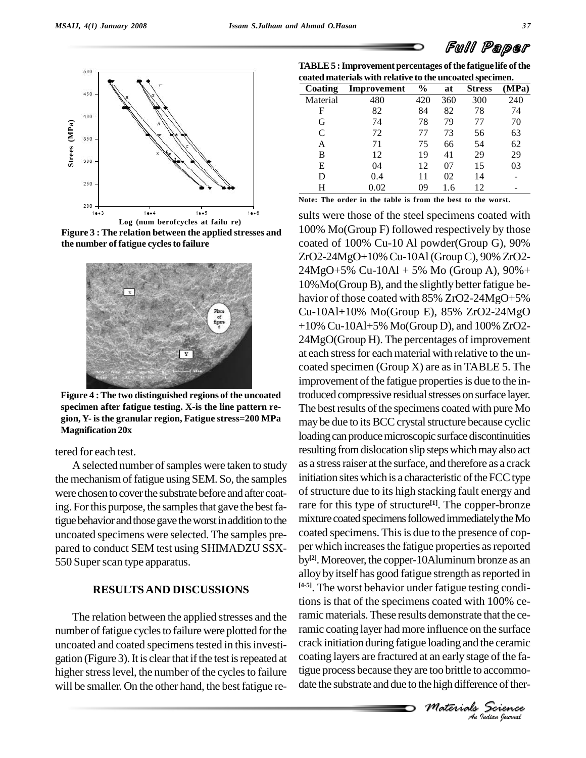



**Figure 3 : The relation between the applied stresses and the number of fatigue cyclesto failure Log (num berofcycles at failu re)**



**Figure 4 :The two distinguished regions of the uncoated specimen after fatigue testing. X-is the line pattern re gion, Y- isthe granular region, Fatigue stress=200 MPa Magnification 20x**

tered for each test.

A selected number of samples were taken to study the mechanismoffatigue using SEM. So, the samples were chosen to cover the substrate before and after coating. For this purpose, the samples that gave the best fatigue behavior and those gave the worst in addition to the uncoated specimens were selected. The samples pre pared to conduct SEM test using SHIMADZU SSX- 550 Super scan type apparatus.

#### **RESULTSAND DISCUSSIONS**

The relation between the applied stresses and the number of fatigue cycles to failure were plotted for the uncoated and coated specimens tested in this investigation (Figure 3). It is clear that if the test is repeated at higher stress level, the number of the cycles to failure will be smaller. On the other hand, the best fatigue re-

**TABLE5 :Improvement percentages ofthe fatigue life ofthe coated materials with relative to the uncoated specimen.**

|               | outen mutel islo went i entry to to the uncouten opeculiers |      |     |               |       |
|---------------|-------------------------------------------------------------|------|-----|---------------|-------|
| Coating       | Improvement                                                 | $\%$ | at  | <b>Stress</b> | (MPa) |
| Material      | 480                                                         | 420  | 360 | 300           | 240   |
| F             | 82                                                          | 84   | 82  | 78            | 74    |
| G             | 74                                                          | 78   | 79  | 77            | 70    |
| $\mathcal{C}$ | 72                                                          | 77   | 73  | 56            | 63    |
| A             | 71                                                          | 75   | 66  | 54            | 62    |
| В             | 12                                                          | 19   | 41  | 29            | 29    |
| E             | 04                                                          | 12   | 07  | 15            | 03    |
| D             | 0.4                                                         | 11   | 02  | 14            |       |
| Н             | 0.02                                                        | 09   | 1.6 | 12            |       |
|               |                                                             |      |     |               |       |

**Note: The order in the table is from the best to the worst.**

*Maximum and the ceramic*<br> *Materials Materials*<br> *Materials Science*<br> *Materials Science An*crack initiation during fatigue loading and the ceramic sults were those of the steel specimens coated with 100% Mo(Group F) followed respectively by those coated of  $100\%$  Cu-10 Al powder(Group G),  $90\%$ ZrO2-24MgO+10% Cu-10Al(GroupC), 90% ZrO2- 24MgO+5% Cu-10Al + 5% Mo (Group A), 90%+ 10%Mo(Group B), and the slightly better fatigue be havior of those coated with 85% ZrO2-24MgO+5% Cu-10Al+10% Mo(Group E), 85% ZrO2-24MgO +10% Cu-10Al+5% Mo(Group D), and 100% ZrO2- 24MgO(Group H). The percentages of improvement at each stress for each material with relative to the uncoated specimen (Group  $X$ ) are as in TABLE 5. The improvement of the fatigue properties is due to the introduced compressive residual stresses on surface layer. The best results of the specimens coated with pure Mo may be due to its BCC crystal structure because cyclic loading can produce microscopic surface discontinuities resulting from dislocation slip steps which may also act as a stress raiser at the surface, and therefore as a crack initiation sites which is a characteristic of the FCC type of structure due to its high stacking fault energy and rare for this type of structure **[1]**. The copper-bronze mixture coated specimens followed immediately the Mo coated specimens. This is due to the presence of copper which increases the fatigue properties as reported by<sup>[2]</sup>. Moreover, the copper-10Aluminum bronze as an alloy by itself has good fatigue strength as reported in **[4-5]**. The worst behavior under fatigue testing conditions is that of the specimens coated with 100% ceramic materials. These results demonstrate that the ceramic coating layer had more influence on the surface coating layers are fractured at an early stage of the fatigue process because theyare too brittle to accommo date the substrate and due to the high difference of ther-

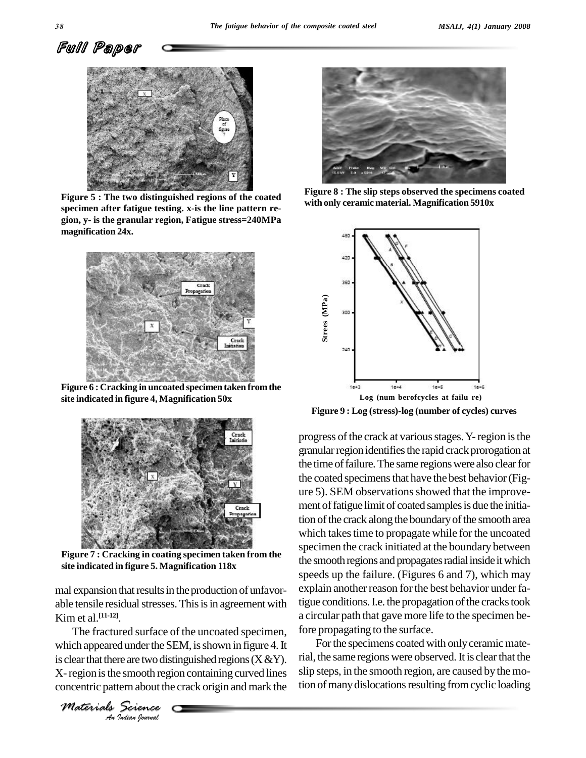



**Figure 5 : The two distinguished regions of the coated specimen after fatigue testing. x-is the line pattern re gion, y- is the granular region, Fatigue stress=240MPa magnification 24x.**



**Figure 6 : Cracking in uncoated specimen taken fromthe site indicated in figure 4, Magnification 50x**



**Figure 7 : Cracking in coating specimen taken from the site indicated in figure 5. Magnification 118x**

mal expansion that results in the production of unfavorable tensile residual stresses. This is in agreement with Kim et al. **[11-12]**.

The fractured surface of the uncoated specimen, for *Indian Indian*<br>*Indian Indian*<br>*Indian hournal* which appeared under the SEM, is shown in figure 4. It is clear that there are two distinguished regions  $(X & Y)$ . X-region is the smooth region containing curved lines concentric pattern about the crack origin and mark the

*Materials Science*



**Figure 8 : The slip steps observed the specimens coated with only ceramic material. Magnification 5910x**



**Figure 9 : Log (stress)-log (number of cycles) curves**

progress of the crack at various stages. Y-region is the granular region identifies the rapid crack prorogation at the time of failure. The same regions were also clear for the coated specimens that have the best behavior (Figure 5). SEM observations showed that the improvement of fatigue limit of coated samples is due the initiation of the crack along the boundary of the smooth area which takes time to propagate while for the uncoated specimen the crack initiated at the boundary between the smooth regions and propagates radial inside it which speeds up the failure. (Figures 6 and 7), which may explain another reason for the best behavior under fatigue conditions. I.e. the propagation of the cracks took a circular path that gave more life to the specimen before propagating to the surface.

For the specimens coated with only ceramic material, the same regions were observed. It is clear that the slip steps, in the smooth region, are caused bythe motion of many dislocations resulting from cyclic loading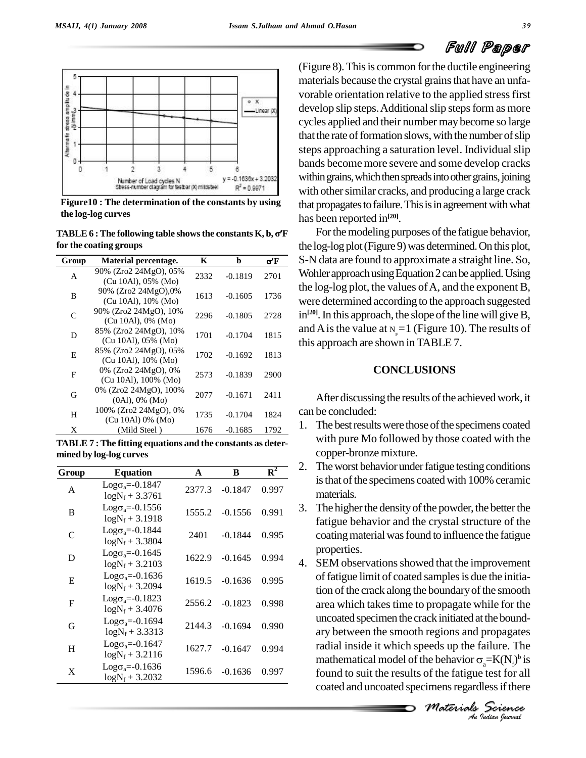

**Figure10 : The determination of the constants by using the log-log curves**

**TABLE 6** : The following table shows the constants  $K$ ,  $b$ ,  $\sigma$ <sup> $\prime$ </sup>F **for the coating groups Group Material percentage. <sup>K</sup> <sup>b</sup> <sup>F</sup>**

| Group         | Material percentage.                              | K    | b         | $\sigma$ <sup><math>\rm{F}</math></sup> |
|---------------|---------------------------------------------------|------|-----------|-----------------------------------------|
| A             | 90% (Zro2 24MgO), 05%<br>(Cu 10Al), 05% (Mo)      | 2332 | $-0.1819$ | 2701                                    |
| B             | 90% (Zro2 24MgO),0%<br>$(Cu 10Al)$ , 10% $(Mo)$   | 1613 | $-0.1605$ | 1736                                    |
| $\mathcal{C}$ | 90% (Zro2 24MgO), 10%<br>$(Cu 10Al)$ , 0% $(Mo)$  | 2296 | $-0.1805$ | 2728                                    |
| D             | 85% (Zro2 24MgO), 10%<br>$(Cu 10Al)$ , 05% $(Mo)$ | 1701 | $-0.1704$ | 1815                                    |
| E             | 85% (Zro2 24MgO), 05%<br>$(Cu 10Al)$ , 10% $(Mo)$ | 1702 | $-0.1692$ | 1813                                    |
| F             | 0% (Zro2 24MgO), 0%<br>(Cu 10Al), 100% (Mo)       | 2573 | $-0.1839$ | 2900                                    |
| G             | 0% (Zro2 24MgO), 100%<br>$(0Al)$ , $0\%$ $(Mo)$   | 2077 | $-0.1671$ | 2411                                    |
| H             | 100% (Zro2 24MgO), 0%<br>(Cu 10Al) 0% (Mo)        | 1735 | $-0.1704$ | 1824                                    |
| X             | (Mild Steel)                                      | 1676 | $-0.1685$ | 1792                                    |

**TABLE 7 :The fitting equations and the constants as deter mined by log-log curves**

|           | $_{\rm mass}$ $_{\rm s}$ $_{\rm s}$ $_{\rm s}$ $_{\rm s}$ $_{\rm c}$ $_{\rm c}$ $_{\rm c}$ |        |           |       | 2. |
|-----------|--------------------------------------------------------------------------------------------|--------|-----------|-------|----|
| Group     | <b>Equation</b>                                                                            | A      | B         | $R^2$ |    |
| A         | $Log\sigma_a = 0.1847$<br>$logN_f + 3.3761$                                                | 2377.3 | $-0.1847$ | 0.997 |    |
| B         | $Log\sigma_a = -0.1556$<br>$logN_f$ + 3.1918                                               | 1555.2 | $-0.1556$ | 0.991 | 3. |
| C         | $Log\sigma_a = -0.1844$<br>$logN_f + 3.3804$                                               | 2401   | $-0.1844$ | 0.995 |    |
| D         | $Log\sigma_a = -0.1645$<br>$logN_f$ + 3.2103                                               | 1622.9 | $-0.1645$ | 0.994 | 4. |
| E         | $Log\sigma_a = -0.1636$<br>$logN_f$ + 3.2094                                               | 1619.5 | $-0.1636$ | 0.995 |    |
| F         | $Log\sigma_a = -0.1823$<br>$logN_f$ + 3.4076                                               | 2556.2 | $-0.1823$ | 0.998 |    |
| G         | $Log\sigma_a = -0.1694$<br>$logN_f + 3.3313$                                               | 2144.3 | $-0.1694$ | 0.990 |    |
| $H_{\rm}$ | $Log\sigma_a = -0.1647$<br>$logN_f$ + 3.2116                                               | 1627.7 | $-0.1647$ | 0.994 |    |
| X         | $Log\sigma_a = -0.1636$<br>$logN_f$ + 3.2032                                               | 1596.6 | $-0.1636$ | 0.997 |    |

(Figure 8).Thisis common forthe ductile engineering materials because the crystal grains that have an unfavorable orientation relative to the applied stress first develop slip steps. Additional slip steps form as more cycles applied and their number maybecome so large that the rate of formation slows, with the number of slip steps approaching a saturation level. Individual slip bands become more severe and some develop cracks within grains, which then spreads into other grains, joining with other similar cracks, and producing a large crack that propagates to failure. This is in agreement with what has been reported in **[20]**.

For the modeling purposes of the fatigue behavior, the log-log plot (Figure 9) was determined. On this plot, S-N data are found to approximate a straight line. So, Wohler approach using Equation 2 can be applied. Using the log-log plot, the values of  $A$ , and the exponent  $B$ , were determined according to the approach suggested in<sup>[20]</sup>. In this approach, the slope of the line will give B, and A is the value at  $N = 1$  (Figure 10). The results of this approach are shown inTABLE 7.

### **CONCLUSIONS**

After discussing the results of the achieved work, it can be concluded:

- 1. The best results were those of the specimens coated with pure Mo followed by those coated with the copper-bronze mixture.
- 2. The worst behavior under fatigue testing conditions is that of the specimens coated with 100% ceramic materials.
- 3. The higher the density of the powder, the better the fatigue behavior and the crystal structure of the coating material was found to influence the fatigue properties.
- *M Indian M Indian M Indian M M Interpretational Materials Materials Materials Mudian hourdal An*ary between the smooth regions and propagates 4. SEM observations showed that the improvement of fatigue limit of coated samples is due the initiation of the crack along the boundary of the smooth area which takes time to propagate while for the uncoated specimen the crack initiated at the boundradial inside it which speeds up the failure. The ary between the smooth regions and propagates<br>radial inside it which speeds up the failure. The<br>mathematical model of the behavior  $\sigma_a = K(N_f)^b$  is found to suit the results of the fatigue test for all coated and uncoated specimens regardless if there